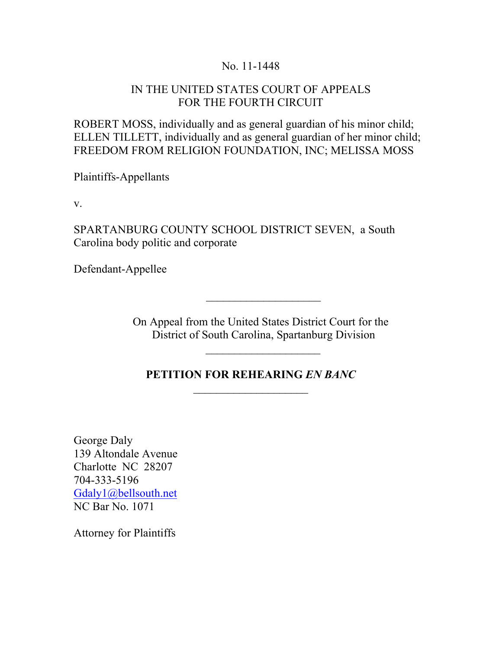### No. 11-1448

### IN THE UNITED STATES COURT OF APPEALS FOR THE FOURTH CIRCUIT

ROBERT MOSS, individually and as general guardian of his minor child; ELLEN TILLETT, individually and as general guardian of her minor child; FREEDOM FROM RELIGION FOUNDATION, INC; MELISSA MOSS

Plaintiffs-Appellants

v.

SPARTANBURG COUNTY SCHOOL DISTRICT SEVEN, a South Carolina body politic and corporate

Defendant-Appellee

On Appeal from the United States District Court for the District of South Carolina, Spartanburg Division

 $\mathcal{L}=\frac{1}{2}$  , where  $\mathcal{L}=\frac{1}{2}$ 

### **PETITION FOR REHEARING** *EN BANC*  $\overline{\phantom{a}}$  , where  $\overline{\phantom{a}}$

George Daly 139 Altondale Avenue Charlotte NC 28207 704-333-5196 Gdaly1@bellsouth.net NC Bar No. 1071

Attorney for Plaintiffs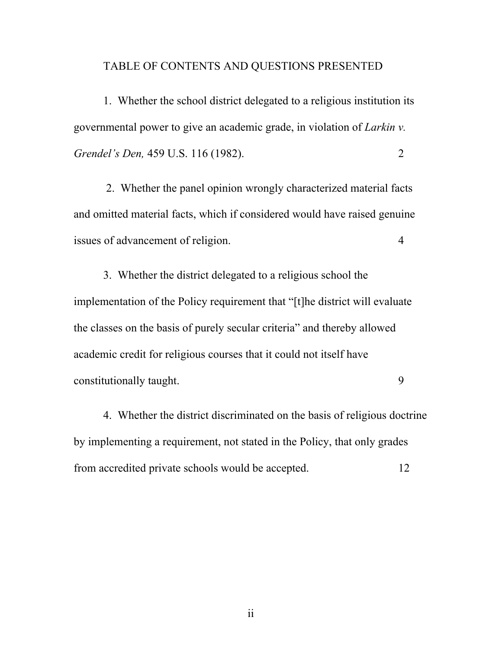#### TABLE OF CONTENTS AND QUESTIONS PRESENTED

1. Whether the school district delegated to a religious institution its governmental power to give an academic grade, in violation of *Larkin v. Grendel's Den,* 459 U.S. 116 (1982). 2

 2. Whether the panel opinion wrongly characterized material facts and omitted material facts, which if considered would have raised genuine issues of advancement of religion. 4

3. Whether the district delegated to a religious school the implementation of the Policy requirement that "[t]he district will evaluate the classes on the basis of purely secular criteria" and thereby allowed academic credit for religious courses that it could not itself have constitutionally taught. 9

4. Whether the district discriminated on the basis of religious doctrine by implementing a requirement, not stated in the Policy, that only grades from accredited private schools would be accepted. 12

ii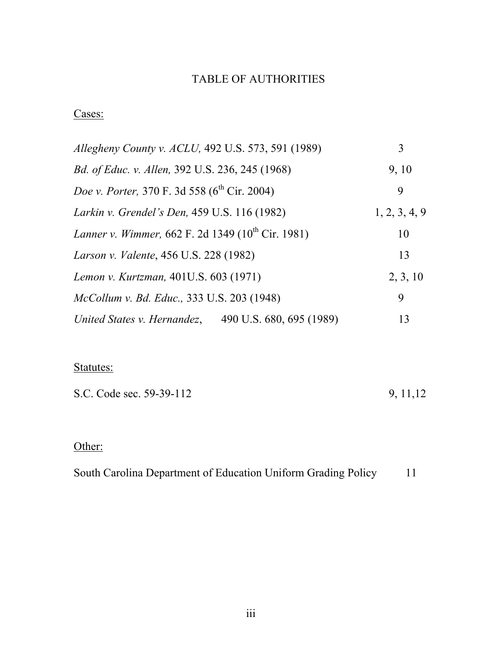# TABLE OF AUTHORITIES

# Cases:

| Allegheny County v. ACLU, 492 U.S. 573, 591 (1989)            | 3             |
|---------------------------------------------------------------|---------------|
| <i>Bd. of Educ. v. Allen, 392 U.S. 236, 245 (1968)</i>        | 9, 10         |
| Doe v. Porter, 370 F. 3d 558 (6 <sup>th</sup> Cir. 2004)      | 9             |
| Larkin v. Grendel's Den, 459 U.S. 116 (1982)                  | 1, 2, 3, 4, 9 |
| Lanner v. Wimmer, 662 F. 2d 1349 (10 <sup>th</sup> Cir. 1981) | 10            |
| Larson v. Valente, 456 U.S. 228 (1982)                        | 13            |
| Lemon v. Kurtzman, 401U.S. 603 (1971)                         | 2, 3, 10      |
| McCollum v. Bd. Educ., 333 U.S. 203 (1948)                    | 9             |
| 490 U.S. 680, 695 (1989)<br>United States v. Hernandez,       | 13            |

# Statutes:

| S.C. Code sec. 59-39-112 | 9, 11, 12 |
|--------------------------|-----------|
|                          |           |

# Other:

South Carolina Department of Education Uniform Grading Policy 11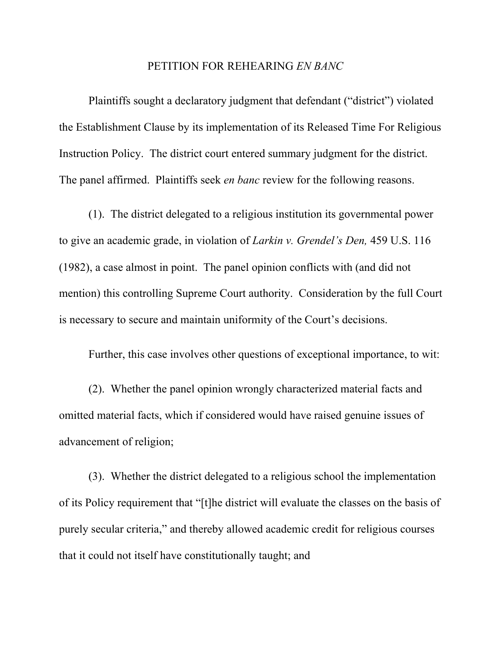#### PETITION FOR REHEARING *EN BANC*

Plaintiffs sought a declaratory judgment that defendant ("district") violated the Establishment Clause by its implementation of its Released Time For Religious Instruction Policy. The district court entered summary judgment for the district. The panel affirmed. Plaintiffs seek *en banc* review for the following reasons.

(1). The district delegated to a religious institution its governmental power to give an academic grade, in violation of *Larkin v. Grendel's Den,* 459 U.S. 116 (1982), a case almost in point. The panel opinion conflicts with (and did not mention) this controlling Supreme Court authority. Consideration by the full Court is necessary to secure and maintain uniformity of the Court's decisions.

Further, this case involves other questions of exceptional importance, to wit:

(2). Whether the panel opinion wrongly characterized material facts and omitted material facts, which if considered would have raised genuine issues of advancement of religion;

(3). Whether the district delegated to a religious school the implementation of its Policy requirement that "[t]he district will evaluate the classes on the basis of purely secular criteria," and thereby allowed academic credit for religious courses that it could not itself have constitutionally taught; and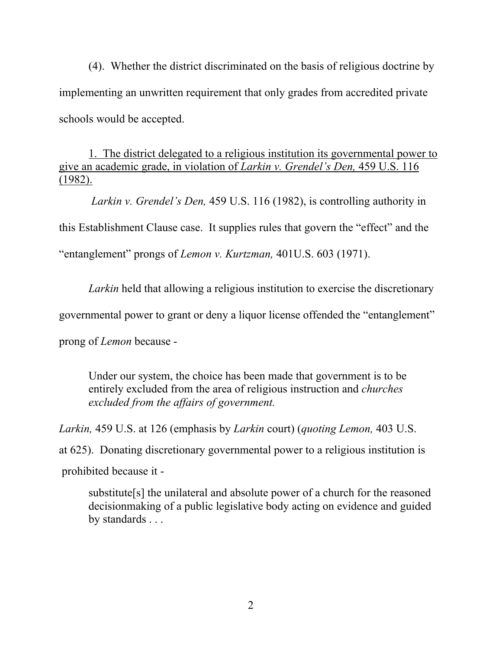(4). Whether the district discriminated on the basis of religious doctrine by implementing an unwritten requirement that only grades from accredited private schools would be accepted.

1. The district delegated to a religious institution its governmental power to give an academic grade, in violation of *Larkin v. Grendel's Den,* 459 U.S. 116 (1982).

 *Larkin v. Grendel's Den,* 459 U.S. 116 (1982), is controlling authority in this Establishment Clause case. It supplies rules that govern the "effect" and the "entanglement" prongs of *Lemon v. Kurtzman,* 401U.S. 603 (1971).

*Larkin* held that allowing a religious institution to exercise the discretionary

governmental power to grant or deny a liquor license offended the "entanglement"

prong of *Lemon* because -

Under our system, the choice has been made that government is to be entirely excluded from the area of religious instruction and *churches excluded from the affairs of government.*

*Larkin,* 459 U.S. at 126 (emphasis by *Larkin* court) (*quoting Lemon,* 403 U.S. at 625). Donating discretionary governmental power to a religious institution is

prohibited because it -

substitute[s] the unilateral and absolute power of a church for the reasoned decisionmaking of a public legislative body acting on evidence and guided by standards . . .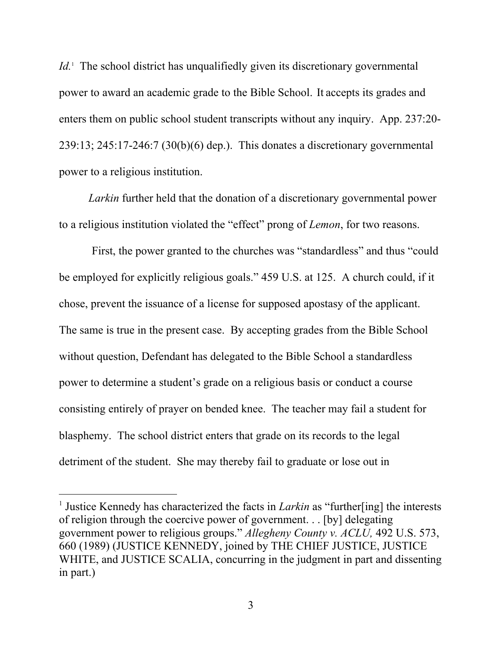*Id.*<sup>1</sup> The school district has unqualifiedly given its discretionary governmental power to award an academic grade to the Bible School. It accepts its grades and enters them on public school student transcripts without any inquiry. App. 237:20- 239:13; 245:17-246:7 (30(b)(6) dep.). This donates a discretionary governmental power to a religious institution.

*Larkin* further held that the donation of a discretionary governmental power to a religious institution violated the "effect" prong of *Lemon*, for two reasons.

 First, the power granted to the churches was "standardless" and thus "could be employed for explicitly religious goals." 459 U.S. at 125. A church could, if it chose, prevent the issuance of a license for supposed apostasy of the applicant. The same is true in the present case. By accepting grades from the Bible School without question, Defendant has delegated to the Bible School a standardless power to determine a student's grade on a religious basis or conduct a course consisting entirely of prayer on bended knee. The teacher may fail a student for blasphemy. The school district enters that grade on its records to the legal detriment of the student. She may thereby fail to graduate or lose out in

 $\frac{1}{1}$ <sup>1</sup> Justice Kennedy has characterized the facts in *Larkin* as "further[ing] the interests of religion through the coercive power of government. . . [by] delegating government power to religious groups." *Allegheny County v. ACLU,* 492 U.S. 573, 660 (1989) (JUSTICE KENNEDY, joined by THE CHIEF JUSTICE, JUSTICE WHITE, and JUSTICE SCALIA, concurring in the judgment in part and dissenting in part.)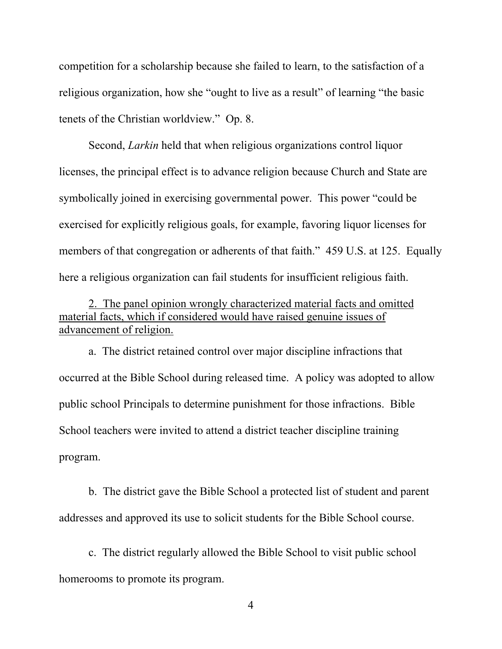competition for a scholarship because she failed to learn, to the satisfaction of a religious organization, how she "ought to live as a result" of learning "the basic tenets of the Christian worldview." Op. 8.

Second, *Larkin* held that when religious organizations control liquor licenses, the principal effect is to advance religion because Church and State are symbolically joined in exercising governmental power. This power "could be exercised for explicitly religious goals, for example, favoring liquor licenses for members of that congregation or adherents of that faith." 459 U.S. at 125. Equally here a religious organization can fail students for insufficient religious faith.

2. The panel opinion wrongly characterized material facts and omitted material facts, which if considered would have raised genuine issues of advancement of religion.

a. The district retained control over major discipline infractions that occurred at the Bible School during released time. A policy was adopted to allow public school Principals to determine punishment for those infractions. Bible School teachers were invited to attend a district teacher discipline training program.

b. The district gave the Bible School a protected list of student and parent addresses and approved its use to solicit students for the Bible School course.

c. The district regularly allowed the Bible School to visit public school homerooms to promote its program.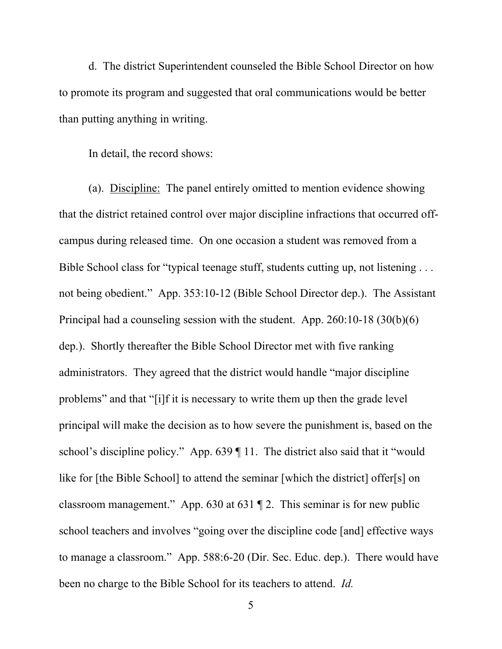d. The district Superintendent counseled the Bible School Director on how to promote its program and suggested that oral communications would be better than putting anything in writing.

In detail, the record shows:

(a). Discipline: The panel entirely omitted to mention evidence showing that the district retained control over major discipline infractions that occurred offcampus during released time. On one occasion a student was removed from a Bible School class for "typical teenage stuff, students cutting up, not listening . . . not being obedient." App. 353:10-12 (Bible School Director dep.). The Assistant Principal had a counseling session with the student. App. 260:10-18 (30(b)(6) dep.). Shortly thereafter the Bible School Director met with five ranking administrators. They agreed that the district would handle "major discipline problems" and that "[i]f it is necessary to write them up then the grade level principal will make the decision as to how severe the punishment is, based on the school's discipline policy." App. 639 | 11. The district also said that it "would like for [the Bible School] to attend the seminar [which the district] offer[s] on classroom management." App. 630 at 631 ¶ 2. This seminar is for new public school teachers and involves "going over the discipline code [and] effective ways to manage a classroom." App. 588:6-20 (Dir. Sec. Educ. dep.). There would have been no charge to the Bible School for its teachers to attend. *Id.*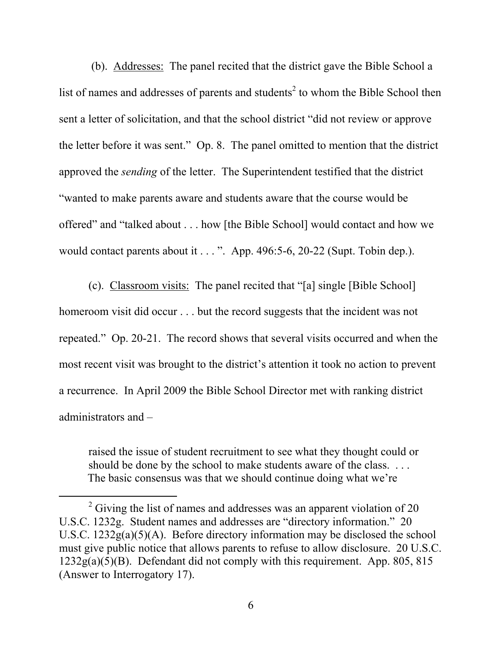(b). Addresses: The panel recited that the district gave the Bible School a list of names and addresses of parents and students<sup>2</sup> to whom the Bible School then sent a letter of solicitation, and that the school district "did not review or approve the letter before it was sent." Op. 8. The panel omitted to mention that the district approved the *sending* of the letter. The Superintendent testified that the district "wanted to make parents aware and students aware that the course would be offered" and "talked about . . . how [the Bible School] would contact and how we would contact parents about it . . . ". App. 496:5-6, 20-22 (Supt. Tobin dep.).

(c). Classroom visits: The panel recited that "[a] single [Bible School] homeroom visit did occur . . . but the record suggests that the incident was not repeated." Op. 20-21. The record shows that several visits occurred and when the most recent visit was brought to the district's attention it took no action to prevent a recurrence. In April 2009 the Bible School Director met with ranking district administrators and –

raised the issue of student recruitment to see what they thought could or should be done by the school to make students aware of the class. ... The basic consensus was that we should continue doing what we're

 $\frac{1}{2}$  $\degree$  Giving the list of names and addresses was an apparent violation of 20 U.S.C. 1232g. Student names and addresses are "directory information." 20 U.S.C.  $1232g(a)(5)(A)$ . Before directory information may be disclosed the school must give public notice that allows parents to refuse to allow disclosure. 20 U.S.C.  $1232g(a)(5)(B)$ . Defendant did not comply with this requirement. App. 805, 815 (Answer to Interrogatory 17).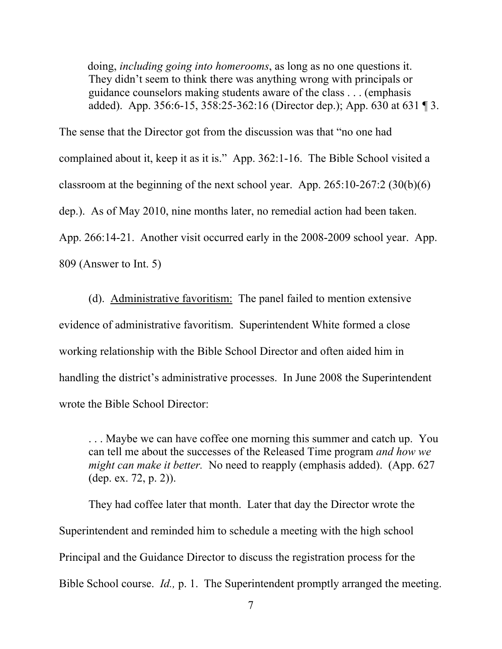doing, *including going into homerooms*, as long as no one questions it. They didn't seem to think there was anything wrong with principals or guidance counselors making students aware of the class . . . (emphasis added). App. 356:6-15, 358:25-362:16 (Director dep.); App. 630 at 631 ¶ 3.

The sense that the Director got from the discussion was that "no one had complained about it, keep it as it is." App. 362:1-16. The Bible School visited a classroom at the beginning of the next school year. App. 265:10-267:2 (30(b)(6) dep.). As of May 2010, nine months later, no remedial action had been taken. App. 266:14-21. Another visit occurred early in the 2008-2009 school year. App. 809 (Answer to Int. 5)

(d). Administrative favoritism: The panel failed to mention extensive evidence of administrative favoritism. Superintendent White formed a close working relationship with the Bible School Director and often aided him in handling the district's administrative processes. In June 2008 the Superintendent wrote the Bible School Director:

. . . Maybe we can have coffee one morning this summer and catch up. You can tell me about the successes of the Released Time program *and how we might can make it better.* No need to reapply (emphasis added). (App. 627 (dep. ex. 72, p. 2)).

They had coffee later that month. Later that day the Director wrote the Superintendent and reminded him to schedule a meeting with the high school Principal and the Guidance Director to discuss the registration process for the Bible School course. *Id.,* p. 1. The Superintendent promptly arranged the meeting.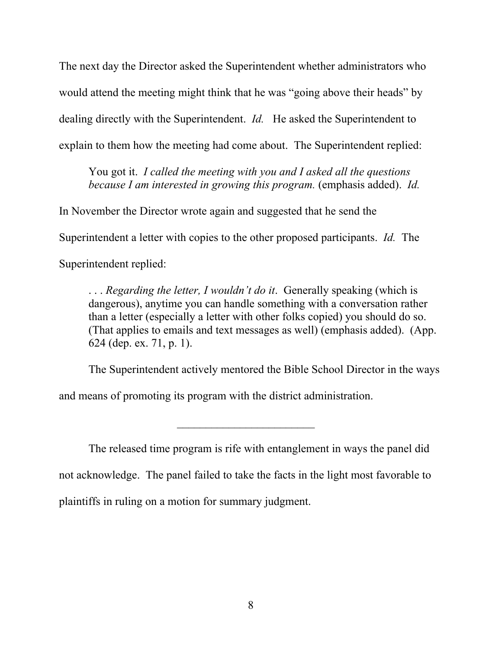The next day the Director asked the Superintendent whether administrators who would attend the meeting might think that he was "going above their heads" by dealing directly with the Superintendent. *Id.* He asked the Superintendent to explain to them how the meeting had come about. The Superintendent replied:

You got it. *I called the meeting with you and I asked all the questions because I am interested in growing this program.* (emphasis added). *Id.*

In November the Director wrote again and suggested that he send the

Superintendent a letter with copies to the other proposed participants. *Id.* The

Superintendent replied:

. . . *Regarding the letter, I wouldn't do it*. Generally speaking (which is dangerous), anytime you can handle something with a conversation rather than a letter (especially a letter with other folks copied) you should do so. (That applies to emails and text messages as well) (emphasis added). (App. 624 (dep. ex. 71, p. 1).

The Superintendent actively mentored the Bible School Director in the ways

and means of promoting its program with the district administration.

The released time program is rife with entanglement in ways the panel did not acknowledge. The panel failed to take the facts in the light most favorable to plaintiffs in ruling on a motion for summary judgment.

 $\mathcal{L}_\text{max}$  , where  $\mathcal{L}_\text{max}$  , we have the set of  $\mathcal{L}_\text{max}$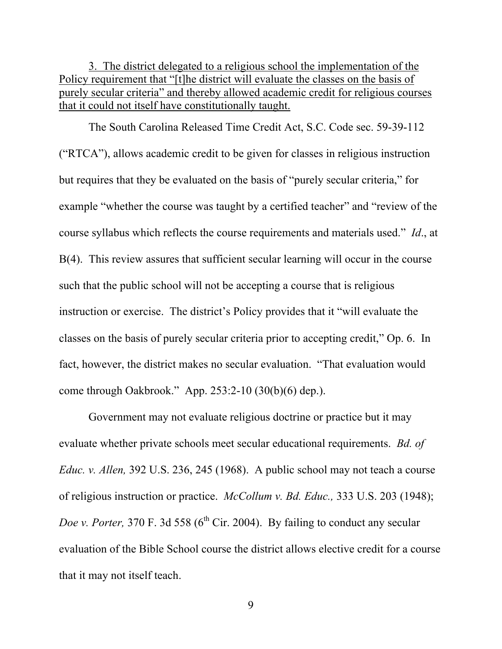3. The district delegated to a religious school the implementation of the Policy requirement that "[t]he district will evaluate the classes on the basis of purely secular criteria" and thereby allowed academic credit for religious courses that it could not itself have constitutionally taught.

The South Carolina Released Time Credit Act, S.C. Code sec. 59-39-112 ("RTCA"), allows academic credit to be given for classes in religious instruction but requires that they be evaluated on the basis of "purely secular criteria," for example "whether the course was taught by a certified teacher" and "review of the course syllabus which reflects the course requirements and materials used." *Id*., at B(4). This review assures that sufficient secular learning will occur in the course such that the public school will not be accepting a course that is religious instruction or exercise. The district's Policy provides that it "will evaluate the classes on the basis of purely secular criteria prior to accepting credit," Op. 6. In fact, however, the district makes no secular evaluation. "That evaluation would come through Oakbrook." App. 253:2-10 (30(b)(6) dep.).

Government may not evaluate religious doctrine or practice but it may evaluate whether private schools meet secular educational requirements. *Bd. of Educ. v. Allen,* 392 U.S. 236, 245 (1968). A public school may not teach a course of religious instruction or practice. *McCollum v. Bd. Educ.,* 333 U.S. 203 (1948); *Doe v. Porter,* 370 F. 3d 558 ( $6<sup>th</sup>$  Cir. 2004). By failing to conduct any secular evaluation of the Bible School course the district allows elective credit for a course that it may not itself teach.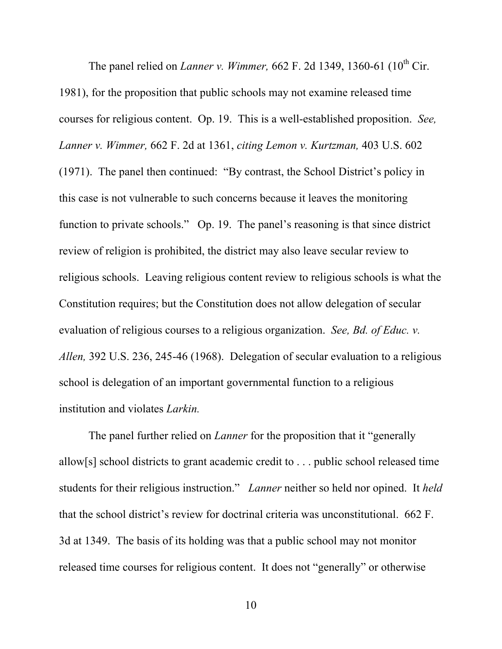The panel relied on *Lanner v. Wimmer*, 662 F. 2d 1349, 1360-61 (10<sup>th</sup> Cir. 1981), for the proposition that public schools may not examine released time courses for religious content. Op. 19. This is a well-established proposition. *See, Lanner v. Wimmer,* 662 F. 2d at 1361, *citing Lemon v. Kurtzman,* 403 U.S. 602 (1971). The panel then continued: "By contrast, the School District's policy in this case is not vulnerable to such concerns because it leaves the monitoring function to private schools." Op. 19. The panel's reasoning is that since district review of religion is prohibited, the district may also leave secular review to religious schools. Leaving religious content review to religious schools is what the Constitution requires; but the Constitution does not allow delegation of secular evaluation of religious courses to a religious organization. *See, Bd. of Educ. v. Allen,* 392 U.S. 236, 245-46 (1968). Delegation of secular evaluation to a religious school is delegation of an important governmental function to a religious institution and violates *Larkin.*

The panel further relied on *Lanner* for the proposition that it "generally allow[s] school districts to grant academic credit to . . . public school released time students for their religious instruction." *Lanner* neither so held nor opined. It *held* that the school district's review for doctrinal criteria was unconstitutional. 662 F. 3d at 1349. The basis of its holding was that a public school may not monitor released time courses for religious content. It does not "generally" or otherwise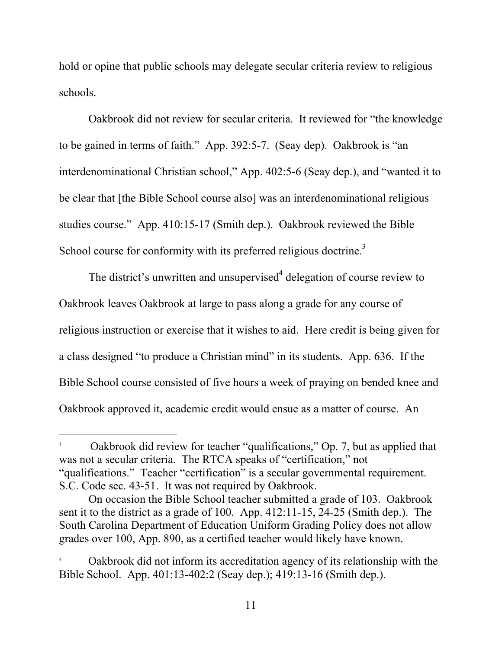hold or opine that public schools may delegate secular criteria review to religious schools.

Oakbrook did not review for secular criteria. It reviewed for "the knowledge to be gained in terms of faith." App. 392:5-7. (Seay dep). Oakbrook is "an interdenominational Christian school," App. 402:5-6 (Seay dep.), and "wanted it to be clear that [the Bible School course also] was an interdenominational religious studies course." App. 410:15-17 (Smith dep.). Oakbrook reviewed the Bible School course for conformity with its preferred religious doctrine.<sup>3</sup>

The district's unwritten and unsupervised $4$  delegation of course review to Oakbrook leaves Oakbrook at large to pass along a grade for any course of religious instruction or exercise that it wishes to aid. Here credit is being given for a class designed "to produce a Christian mind" in its students. App. 636. If the Bible School course consisted of five hours a week of praying on bended knee and Oakbrook approved it, academic credit would ensue as a matter of course. An

 $\frac{1}{3}$  Oakbrook did review for teacher "qualifications," Op. 7, but as applied that was not a secular criteria. The RTCA speaks of "certification," not "qualifications." Teacher "certification" is a secular governmental requirement. S.C. Code sec. 43-51. It was not required by Oakbrook.

On occasion the Bible School teacher submitted a grade of 103. Oakbrook sent it to the district as a grade of 100. App. 412:11-15, 24-25 (Smith dep.). The South Carolina Department of Education Uniform Grading Policy does not allow grades over 100, App. 890, as a certified teacher would likely have known.

<sup>4</sup> Oakbrook did not inform its accreditation agency of its relationship with the Bible School. App. 401:13-402:2 (Seay dep.); 419:13-16 (Smith dep.).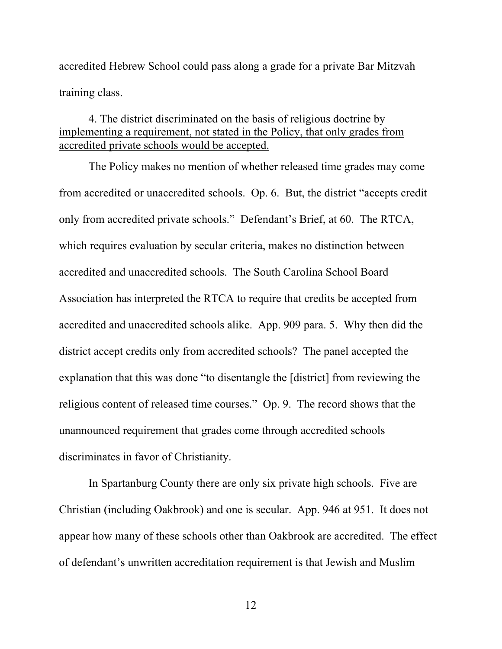accredited Hebrew School could pass along a grade for a private Bar Mitzvah training class.

### 4. The district discriminated on the basis of religious doctrine by implementing a requirement, not stated in the Policy, that only grades from accredited private schools would be accepted.

The Policy makes no mention of whether released time grades may come from accredited or unaccredited schools. Op. 6. But, the district "accepts credit only from accredited private schools." Defendant's Brief, at 60. The RTCA, which requires evaluation by secular criteria, makes no distinction between accredited and unaccredited schools. The South Carolina School Board Association has interpreted the RTCA to require that credits be accepted from accredited and unaccredited schools alike. App. 909 para. 5. Why then did the district accept credits only from accredited schools? The panel accepted the explanation that this was done "to disentangle the [district] from reviewing the religious content of released time courses." Op. 9. The record shows that the unannounced requirement that grades come through accredited schools discriminates in favor of Christianity.

In Spartanburg County there are only six private high schools. Five are Christian (including Oakbrook) and one is secular. App. 946 at 951. It does not appear how many of these schools other than Oakbrook are accredited. The effect of defendant's unwritten accreditation requirement is that Jewish and Muslim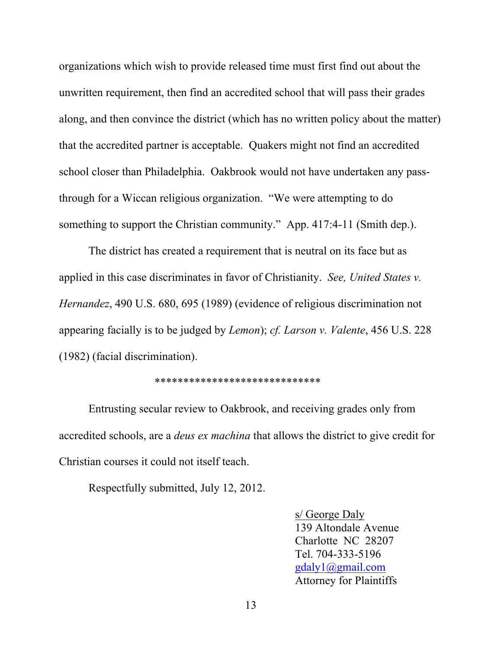organizations which wish to provide released time must first find out about the unwritten requirement, then find an accredited school that will pass their grades along, and then convince the district (which has no written policy about the matter) that the accredited partner is acceptable. Quakers might not find an accredited school closer than Philadelphia. Oakbrook would not have undertaken any passthrough for a Wiccan religious organization. "We were attempting to do something to support the Christian community." App. 417:4-11 (Smith dep.).

The district has created a requirement that is neutral on its face but as applied in this case discriminates in favor of Christianity. *See, United States v. Hernandez*, 490 U.S. 680, 695 (1989) (evidence of religious discrimination not appearing facially is to be judged by *Lemon*); *cf. Larson v. Valente*, 456 U.S. 228 (1982) (facial discrimination).

#### \*\*\*\*\*\*\*\*\*\*\*\*\*\*\*\*\*\*\*\*\*\*\*\*\*\*\*\*\*

Entrusting secular review to Oakbrook, and receiving grades only from accredited schools, are a *deus ex machina* that allows the district to give credit for Christian courses it could not itself teach.

Respectfully submitted, July 12, 2012.

s/ George Daly 139 Altondale Avenue Charlotte NC 28207 Tel. 704-333-5196 gdaly1@gmail.com Attorney for Plaintiffs